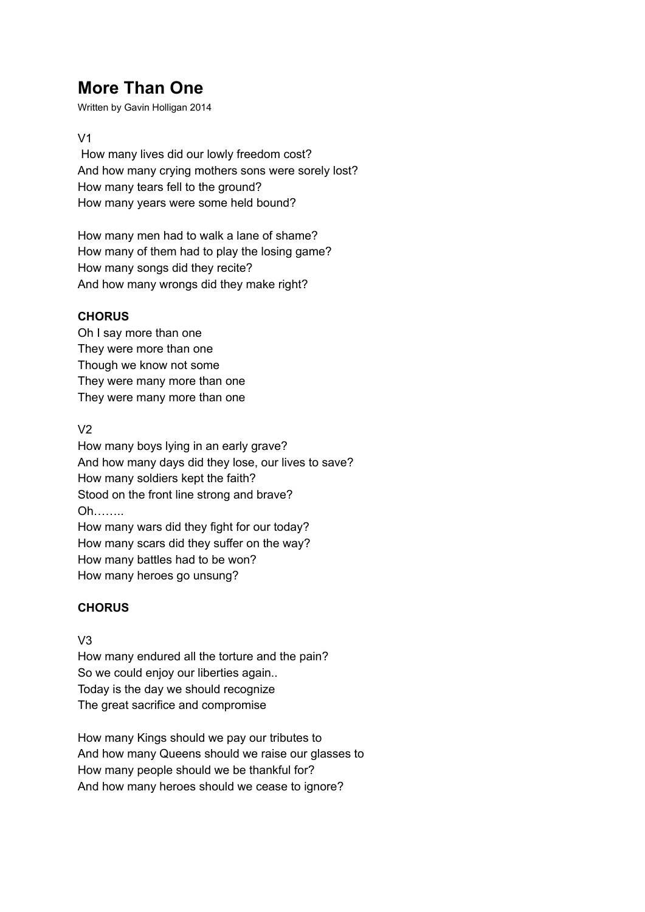# **More Than One**

Written by Gavin Holligan 2014

#### V1

How many lives did our lowly freedom cost? And how many crying mothers sons were sorely lost? How many tears fell to the ground? How many years were some held bound?

How many men had to walk a lane of shame? How many of them had to play the losing game? How many songs did they recite? And how many wrongs did they make right?

#### **CHORUS**

Oh I say more than one They were more than one Though we know not some They were many more than one They were many more than one

#### $V<sub>2</sub>$

How many boys lying in an early grave? And how many days did they lose, our lives to save? How many soldiers kept the faith? Stood on the front line strong and brave? Oh…….. How many wars did they fight for our today? How many scars did they suffer on the way? How many battles had to be won?

How many heroes go unsung?

### **CHORUS**

#### V3

How many endured all the torture and the pain? So we could enjoy our liberties again.. Today is the day we should recognize The great sacrifice and compromise

How many Kings should we pay our tributes to And how many Queens should we raise our glasses to How many people should we be thankful for? And how many heroes should we cease to ignore?